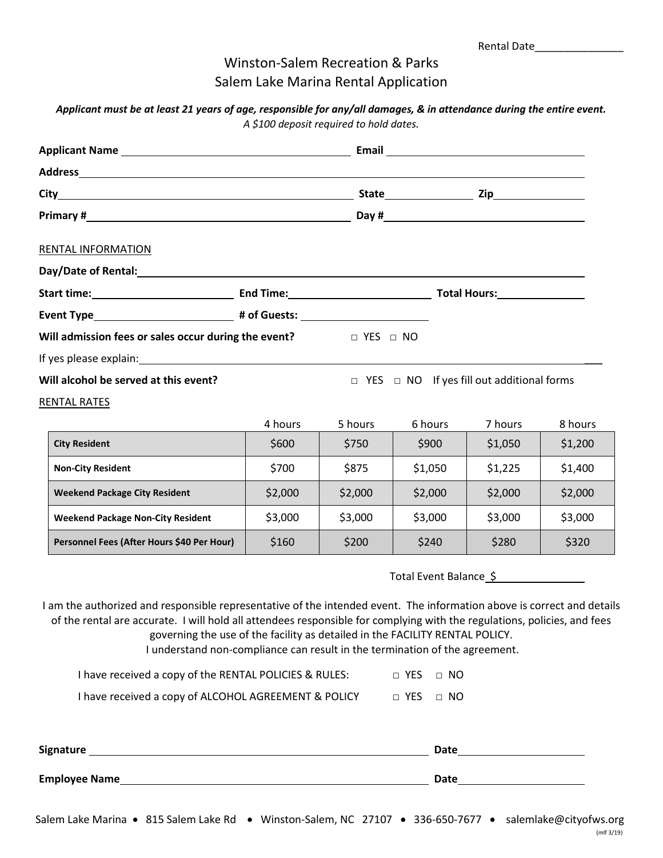## Winston-Salem Recreation & Parks Salem Lake Marina Rental Application

| Applicant must be at least 21 years of age, responsible for any/all damages, & in attendance during the entire event. |  |
|-----------------------------------------------------------------------------------------------------------------------|--|
| A \$100 deposit required to hold dates.                                                                               |  |

| RENTAL INFORMATION                                                                                                                                                                                                                                                                                                                                                                                                |         |         |                                                       |         |         |
|-------------------------------------------------------------------------------------------------------------------------------------------------------------------------------------------------------------------------------------------------------------------------------------------------------------------------------------------------------------------------------------------------------------------|---------|---------|-------------------------------------------------------|---------|---------|
|                                                                                                                                                                                                                                                                                                                                                                                                                   |         |         |                                                       |         |         |
|                                                                                                                                                                                                                                                                                                                                                                                                                   |         |         |                                                       |         |         |
|                                                                                                                                                                                                                                                                                                                                                                                                                   |         |         |                                                       |         |         |
| Will admission fees or sales occur during the event? $\Box$ YES $\Box$ NO                                                                                                                                                                                                                                                                                                                                         |         |         |                                                       |         |         |
| Will alcohol be served at this event?                                                                                                                                                                                                                                                                                                                                                                             |         |         | $\Box$ YES $\Box$ NO If yes fill out additional forms |         |         |
| <b>RENTAL RATES</b>                                                                                                                                                                                                                                                                                                                                                                                               |         |         |                                                       |         |         |
|                                                                                                                                                                                                                                                                                                                                                                                                                   | 4 hours | 5 hours | 6 hours                                               | 7 hours | 8 hours |
| <b>City Resident</b>                                                                                                                                                                                                                                                                                                                                                                                              | \$600   | \$750   | \$900                                                 | \$1,050 | \$1,200 |
| <b>Non-City Resident</b>                                                                                                                                                                                                                                                                                                                                                                                          | \$700   | \$875   | \$1,050                                               | \$1,225 | \$1,400 |
| <b>Weekend Package City Resident</b>                                                                                                                                                                                                                                                                                                                                                                              | \$2,000 | \$2,000 | \$2,000                                               | \$2,000 | \$2,000 |
| <b>Weekend Package Non-City Resident</b>                                                                                                                                                                                                                                                                                                                                                                          | \$3,000 | \$3,000 | \$3,000                                               | \$3,000 | \$3,000 |
| Personnel Fees (After Hours \$40 Per Hour)                                                                                                                                                                                                                                                                                                                                                                        | \$160   | \$200   | \$240                                                 | \$280   | \$320   |
|                                                                                                                                                                                                                                                                                                                                                                                                                   |         |         | Total Event Balance \$                                |         |         |
| I am the authorized and responsible representative of the intended event. The information above is correct and details<br>of the rental are accurate. I will hold all attendees responsible for complying with the regulations, policies, and fees<br>governing the use of the facility as detailed in the FACILITY RENTAL POLICY.<br>I understand non-compliance can result in the termination of the agreement. |         |         |                                                       |         |         |
| I have received a copy of the RENTAL POLICIES & RULES:                                                                                                                                                                                                                                                                                                                                                            |         |         | □ YES<br>$\Box$ NO                                    |         |         |
| I have received a copy of ALCOHOL AGREEMENT & POLICY □ YES □ NO                                                                                                                                                                                                                                                                                                                                                   |         |         |                                                       |         |         |
|                                                                                                                                                                                                                                                                                                                                                                                                                   |         |         |                                                       |         |         |
|                                                                                                                                                                                                                                                                                                                                                                                                                   |         |         |                                                       |         |         |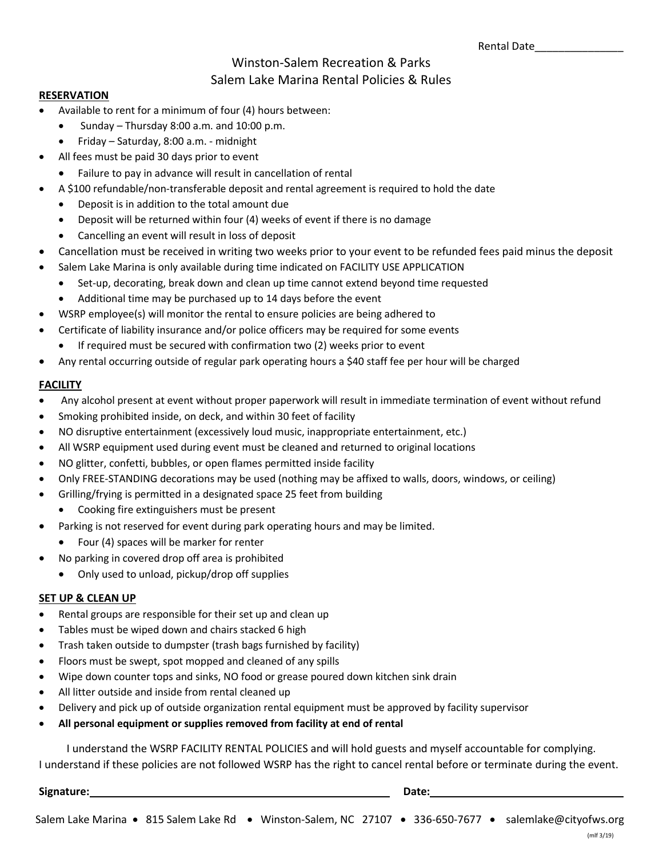## Winston-Salem Recreation & Parks Salem Lake Marina Rental Policies & Rules

#### **RESERVATION**

- Available to rent for a minimum of four (4) hours between:
	- Sunday Thursday 8:00 a.m. and 10:00 p.m.
	- Friday Saturday, 8:00 a.m. midnight
	- All fees must be paid 30 days prior to event
	- Failure to pay in advance will result in cancellation of rental
- A \$100 refundable/non-transferable deposit and rental agreement is required to hold the date
	- Deposit is in addition to the total amount due
	- Deposit will be returned within four (4) weeks of event if there is no damage
	- Cancelling an event will result in loss of deposit
- Cancellation must be received in writing two weeks prior to your event to be refunded fees paid minus the deposit
- Salem Lake Marina is only available during time indicated on FACILITY USE APPLICATION
	- Set-up, decorating, break down and clean up time cannot extend beyond time requested
	- Additional time may be purchased up to 14 days before the event
- WSRP employee(s) will monitor the rental to ensure policies are being adhered to
- Certificate of liability insurance and/or police officers may be required for some events
	- If required must be secured with confirmation two (2) weeks prior to event
- Any rental occurring outside of regular park operating hours a \$40 staff fee per hour will be charged

### **FACILITY**

- Any alcohol present at event without proper paperwork will result in immediate termination of event without refund
- Smoking prohibited inside, on deck, and within 30 feet of facility
- NO disruptive entertainment (excessively loud music, inappropriate entertainment, etc.)
- All WSRP equipment used during event must be cleaned and returned to original locations
- NO glitter, confetti, bubbles, or open flames permitted inside facility
- Only FREE-STANDING decorations may be used (nothing may be affixed to walls, doors, windows, or ceiling)
- Grilling/frying is permitted in a designated space 25 feet from building
	- Cooking fire extinguishers must be present
- Parking is not reserved for event during park operating hours and may be limited.
	- Four (4) spaces will be marker for renter
- No parking in covered drop off area is prohibited
	- Only used to unload, pickup/drop off supplies

#### **SET UP & CLEAN UP**

- Rental groups are responsible for their set up and clean up
- Tables must be wiped down and chairs stacked 6 high
- Trash taken outside to dumpster (trash bags furnished by facility)
- Floors must be swept, spot mopped and cleaned of any spills
- Wipe down counter tops and sinks, NO food or grease poured down kitchen sink drain
- All litter outside and inside from rental cleaned up
- Delivery and pick up of outside organization rental equipment must be approved by facility supervisor
- **All personal equipment or supplies removed from facility at end of rental**

I understand the WSRP FACILITY RENTAL POLICIES and will hold guests and myself accountable for complying. I understand if these policies are not followed WSRP has the right to cancel rental before or terminate during the event.

**Signature:** Date: Date: Date: Date: Date: Date: Date: Date: Date: Date: Date: Date: Date: Date: Date: Date: Date: Date: Date: Date: Date: Date: Date: Date: Date: Date: Date: Date: Date: Date: Date: Date: Date: Date: Date: